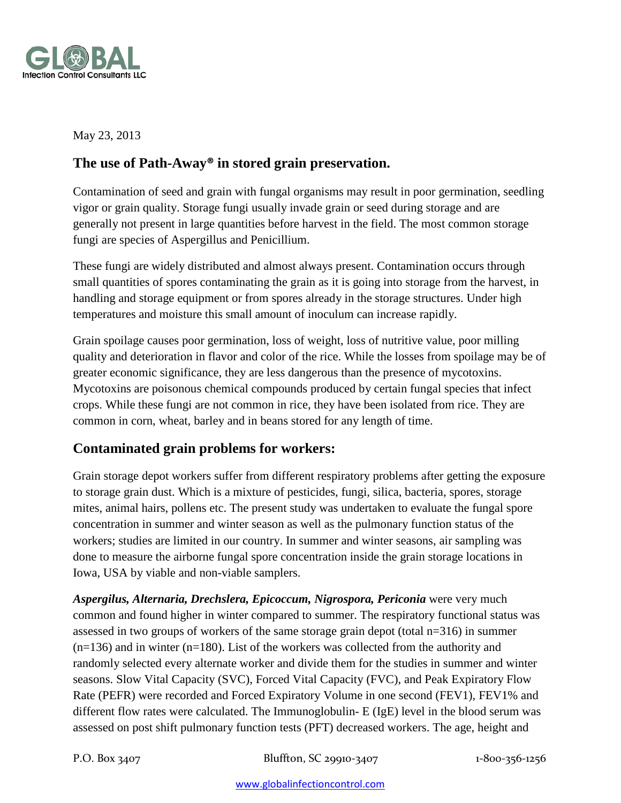

May 23, 2013

# **The use of Path-Away® in stored grain preservation.**

Contamination of seed and grain with fungal organisms may result in poor germination, seedling vigor or grain quality. Storage fungi usually invade grain or seed during storage and are generally not present in large quantities before harvest in the field. The most common storage fungi are species of Aspergillus and Penicillium.

These fungi are widely distributed and almost always present. Contamination occurs through small quantities of spores contaminating the grain as it is going into storage from the harvest, in handling and storage equipment or from spores already in the storage structures. Under high temperatures and moisture this small amount of inoculum can increase rapidly.

Grain spoilage causes poor germination, loss of weight, loss of nutritive value, poor milling quality and deterioration in flavor and color of the rice. While the losses from spoilage may be of greater economic significance, they are less dangerous than the presence of mycotoxins. Mycotoxins are poisonous chemical compounds produced by certain fungal species that infect crops. While these fungi are not common in rice, they have been isolated from rice. They are common in corn, wheat, barley and in beans stored for any length of time.

### **Contaminated grain problems for workers:**

Grain storage depot workers suffer from different respiratory problems after getting the exposure to storage grain dust. Which is a mixture of pesticides, fungi, silica, bacteria, spores, storage mites, animal hairs, pollens etc. The present study was undertaken to evaluate the fungal spore concentration in summer and winter season as well as the pulmonary function status of the workers; studies are limited in our country. In summer and winter seasons, air sampling was done to measure the airborne fungal spore concentration inside the grain storage locations in Iowa, USA by viable and non-viable samplers.

*Aspergilus, Alternaria, Drechslera, Epicoccum, Nigrospora, Periconia* were very much common and found higher in winter compared to summer. The respiratory functional status was assessed in two groups of workers of the same storage grain depot (total n=316) in summer  $(n=136)$  and in winter  $(n=180)$ . List of the workers was collected from the authority and randomly selected every alternate worker and divide them for the studies in summer and winter seasons. Slow Vital Capacity (SVC), Forced Vital Capacity (FVC), and Peak Expiratory Flow Rate (PEFR) were recorded and Forced Expiratory Volume in one second (FEV1), FEV1% and different flow rates were calculated. The Immunoglobulin- E (IgE) level in the blood serum was assessed on post shift pulmonary function tests (PFT) decreased workers. The age, height and

P.O. Box 3407 Bluffton, SC 29910-3407 1-800-356-1256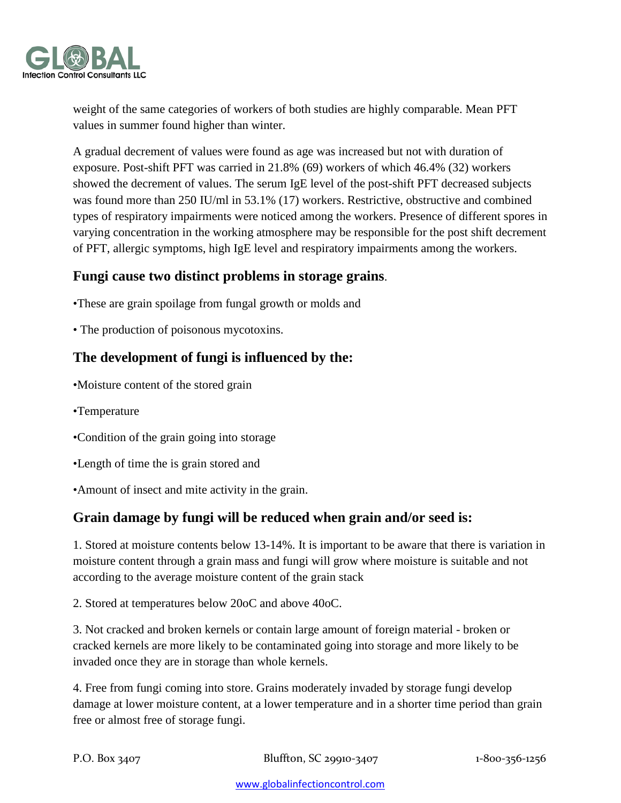

weight of the same categories of workers of both studies are highly comparable. Mean PFT values in summer found higher than winter.

A gradual decrement of values were found as age was increased but not with duration of exposure. Post-shift PFT was carried in 21.8% (69) workers of which 46.4% (32) workers showed the decrement of values. The serum IgE level of the post-shift PFT decreased subjects was found more than 250 IU/ml in 53.1% (17) workers. Restrictive, obstructive and combined types of respiratory impairments were noticed among the workers. Presence of different spores in varying concentration in the working atmosphere may be responsible for the post shift decrement of PFT, allergic symptoms, high IgE level and respiratory impairments among the workers.

### **Fungi cause two distinct problems in storage grains**.

- •These are grain spoilage from fungal growth or molds and
- The production of poisonous mycotoxins.

### **The development of fungi is influenced by the:**

- •Moisture content of the stored grain
- •Temperature
- •Condition of the grain going into storage
- •Length of time the is grain stored and
- •Amount of insect and mite activity in the grain.

#### **Grain damage by fungi will be reduced when grain and/or seed is:**

1. Stored at moisture contents below 13-14%. It is important to be aware that there is variation in moisture content through a grain mass and fungi will grow where moisture is suitable and not according to the average moisture content of the grain stack

2. Stored at temperatures below 20oC and above 40oC.

3. Not cracked and broken kernels or contain large amount of foreign material - broken or cracked kernels are more likely to be contaminated going into storage and more likely to be invaded once they are in storage than whole kernels.

4. Free from fungi coming into store. Grains moderately invaded by storage fungi develop damage at lower moisture content, at a lower temperature and in a shorter time period than grain free or almost free of storage fungi.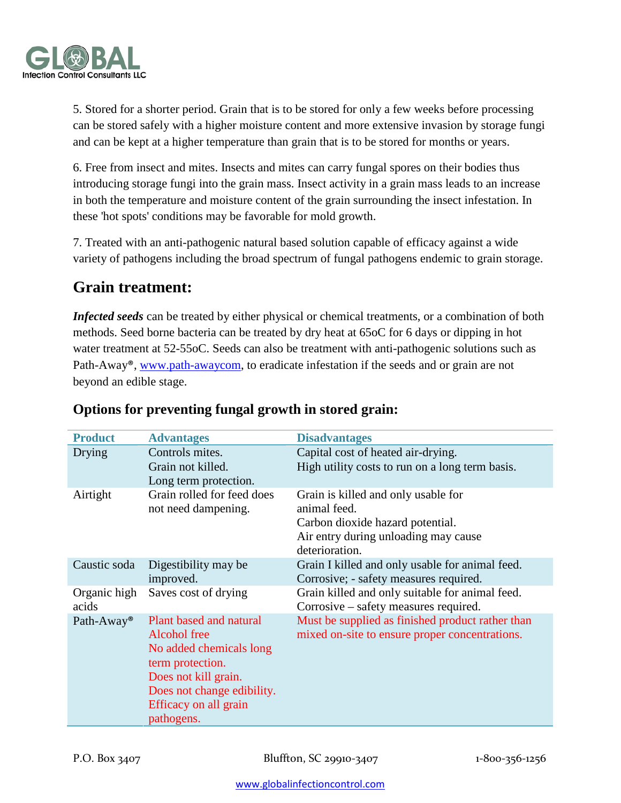

5. Stored for a shorter period. Grain that is to be stored for only a few weeks before processing can be stored safely with a higher moisture content and more extensive invasion by storage fungi and can be kept at a higher temperature than grain that is to be stored for months or years.

6. Free from insect and mites. Insects and mites can carry fungal spores on their bodies thus introducing storage fungi into the grain mass. Insect activity in a grain mass leads to an increase in both the temperature and moisture content of the grain surrounding the insect infestation. In these 'hot spots' conditions may be favorable for mold growth.

7. Treated with an anti-pathogenic natural based solution capable of efficacy against a wide variety of pathogens including the broad spectrum of fungal pathogens endemic to grain storage.

# **Grain treatment:**

*Infected seeds* can be treated by either physical or chemical treatments, or a combination of both methods. Seed borne bacteria can be treated by dry heat at 65oC for 6 days or dipping in hot water treatment at 52-55oC. Seeds can also be treatment with anti-pathogenic solutions such as Path-Away®, [www.path-awaycom,](http://www.path-awaycom/) to eradicate infestation if the seeds and or grain are not beyond an edible stage.

| <b>Product</b>         | <b>Advantages</b>                                                                                                                                                                   | <b>Disadvantages</b>                                                                                                                              |
|------------------------|-------------------------------------------------------------------------------------------------------------------------------------------------------------------------------------|---------------------------------------------------------------------------------------------------------------------------------------------------|
| Drying                 | Controls mites.<br>Grain not killed.                                                                                                                                                | Capital cost of heated air-drying.<br>High utility costs to run on a long term basis.                                                             |
|                        | Long term protection.                                                                                                                                                               |                                                                                                                                                   |
| Airtight               | Grain rolled for feed does<br>not need dampening.                                                                                                                                   | Grain is killed and only usable for<br>animal feed.<br>Carbon dioxide hazard potential.<br>Air entry during unloading may cause<br>deterioration. |
| Caustic soda           | Digestibility may be<br>improved.                                                                                                                                                   | Grain I killed and only usable for animal feed.<br>Corrosive; - safety measures required.                                                         |
| Organic high<br>acids  | Saves cost of drying                                                                                                                                                                | Grain killed and only suitable for animal feed.<br>Corrosive – safety measures required.                                                          |
| Path-Away <sup>®</sup> | Plant based and natural<br>Alcohol free<br>No added chemicals long<br>term protection.<br>Does not kill grain.<br>Does not change edibility.<br>Efficacy on all grain<br>pathogens. | Must be supplied as finished product rather than<br>mixed on-site to ensure proper concentrations.                                                |

## **Options for preventing fungal growth in stored grain:**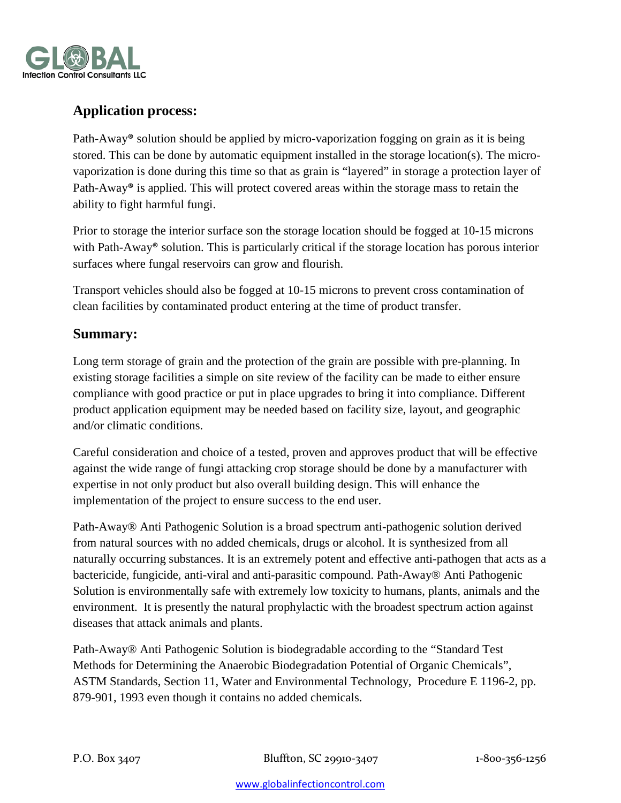

# **Application process:**

Path-Away® solution should be applied by micro-vaporization fogging on grain as it is being stored. This can be done by automatic equipment installed in the storage location(s). The microvaporization is done during this time so that as grain is "layered" in storage a protection layer of Path-Away® is applied. This will protect covered areas within the storage mass to retain the ability to fight harmful fungi.

Prior to storage the interior surface son the storage location should be fogged at 10-15 microns with Path-Away<sup>®</sup> solution. This is particularly critical if the storage location has porous interior surfaces where fungal reservoirs can grow and flourish.

Transport vehicles should also be fogged at 10-15 microns to prevent cross contamination of clean facilities by contaminated product entering at the time of product transfer.

### **Summary:**

Long term storage of grain and the protection of the grain are possible with pre-planning. In existing storage facilities a simple on site review of the facility can be made to either ensure compliance with good practice or put in place upgrades to bring it into compliance. Different product application equipment may be needed based on facility size, layout, and geographic and/or climatic conditions.

Careful consideration and choice of a tested, proven and approves product that will be effective against the wide range of fungi attacking crop storage should be done by a manufacturer with expertise in not only product but also overall building design. This will enhance the implementation of the project to ensure success to the end user.

Path-Away® Anti Pathogenic Solution is a broad spectrum anti-pathogenic solution derived from natural sources with no added chemicals, drugs or alcohol. It is synthesized from all naturally occurring substances. It is an extremely potent and effective anti-pathogen that acts as a bactericide, fungicide, anti-viral and anti-parasitic compound. Path-Away® Anti Pathogenic Solution is environmentally safe with extremely low toxicity to humans, plants, animals and the environment. It is presently the natural prophylactic with the broadest spectrum action against diseases that attack animals and plants.

Path-Away® Anti Pathogenic Solution is biodegradable according to the "Standard Test Methods for Determining the Anaerobic Biodegradation Potential of Organic Chemicals", ASTM Standards, Section 11, Water and Environmental Technology, Procedure E 1196-2, pp. 879-901, 1993 even though it contains no added chemicals.